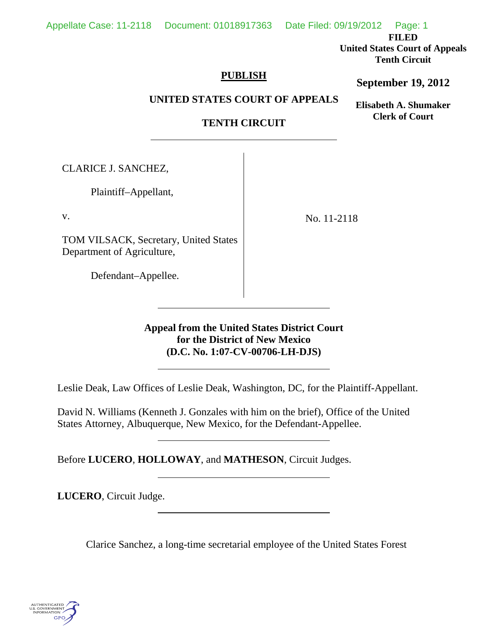**FILED** 

**United States Court of Appeals Tenth Circuit** 

## **PUBLISH**

## **September 19, 2012**

**Elisabeth A. Shumaker Clerk of Court**

**UNITED STATES COURT OF APPEALS**

# **TENTH CIRCUIT**

CLARICE J. SANCHEZ,

Plaintiff–Appellant,

v.

TOM VILSACK, Secretary, United States Department of Agriculture,

 $\overline{a}$ 

l,

 $\overline{a}$ 

 $\overline{a}$ 

No. 11-2118

Defendant–Appellee.

**Appeal from the United States District Court for the District of New Mexico (D.C. No. 1:07-CV-00706-LH-DJS)**

Leslie Deak, Law Offices of Leslie Deak, Washington, DC, for the Plaintiff-Appellant.

David N. Williams (Kenneth J. Gonzales with him on the brief), Office of the United States Attorney, Albuquerque, New Mexico, for the Defendant-Appellee.

Before **LUCERO**, **HOLLOWAY**, and **MATHESON**, Circuit Judges.

**LUCERO**, Circuit Judge.

Clarice Sanchez, a long-time secretarial employee of the United States Forest

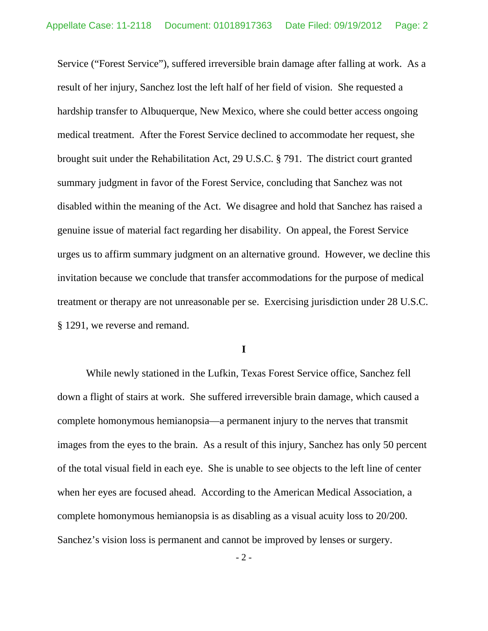Service ("Forest Service"), suffered irreversible brain damage after falling at work. As a result of her injury, Sanchez lost the left half of her field of vision. She requested a hardship transfer to Albuquerque, New Mexico, where she could better access ongoing medical treatment. After the Forest Service declined to accommodate her request, she brought suit under the Rehabilitation Act, 29 U.S.C. § 791. The district court granted summary judgment in favor of the Forest Service, concluding that Sanchez was not disabled within the meaning of the Act. We disagree and hold that Sanchez has raised a genuine issue of material fact regarding her disability. On appeal, the Forest Service urges us to affirm summary judgment on an alternative ground. However, we decline this invitation because we conclude that transfer accommodations for the purpose of medical treatment or therapy are not unreasonable per se. Exercising jurisdiction under 28 U.S.C. § 1291, we reverse and remand.

### **I**

 While newly stationed in the Lufkin, Texas Forest Service office, Sanchez fell down a flight of stairs at work. She suffered irreversible brain damage, which caused a complete homonymous hemianopsia—a permanent injury to the nerves that transmit images from the eyes to the brain. As a result of this injury, Sanchez has only 50 percent of the total visual field in each eye. She is unable to see objects to the left line of center when her eyes are focused ahead. According to the American Medical Association, a complete homonymous hemianopsia is as disabling as a visual acuity loss to 20/200. Sanchez's vision loss is permanent and cannot be improved by lenses or surgery.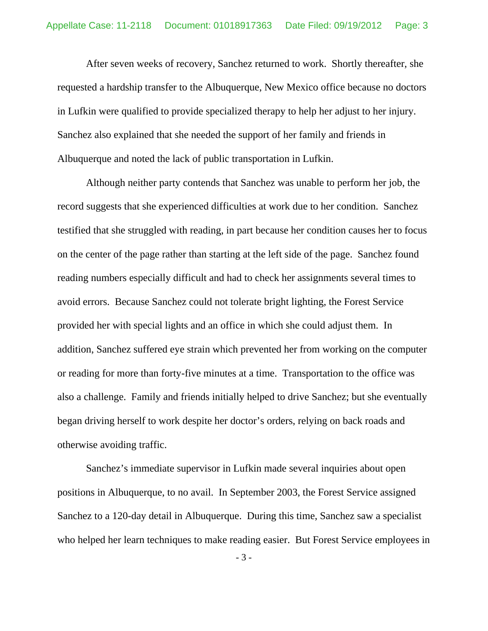After seven weeks of recovery, Sanchez returned to work. Shortly thereafter, she requested a hardship transfer to the Albuquerque, New Mexico office because no doctors in Lufkin were qualified to provide specialized therapy to help her adjust to her injury. Sanchez also explained that she needed the support of her family and friends in Albuquerque and noted the lack of public transportation in Lufkin.

 Although neither party contends that Sanchez was unable to perform her job, the record suggests that she experienced difficulties at work due to her condition. Sanchez testified that she struggled with reading, in part because her condition causes her to focus on the center of the page rather than starting at the left side of the page. Sanchez found reading numbers especially difficult and had to check her assignments several times to avoid errors. Because Sanchez could not tolerate bright lighting, the Forest Service provided her with special lights and an office in which she could adjust them. In addition, Sanchez suffered eye strain which prevented her from working on the computer or reading for more than forty-five minutes at a time. Transportation to the office was also a challenge. Family and friends initially helped to drive Sanchez; but she eventually began driving herself to work despite her doctor's orders, relying on back roads and otherwise avoiding traffic.

 Sanchez's immediate supervisor in Lufkin made several inquiries about open positions in Albuquerque, to no avail. In September 2003, the Forest Service assigned Sanchez to a 120-day detail in Albuquerque. During this time, Sanchez saw a specialist who helped her learn techniques to make reading easier. But Forest Service employees in

- 3 -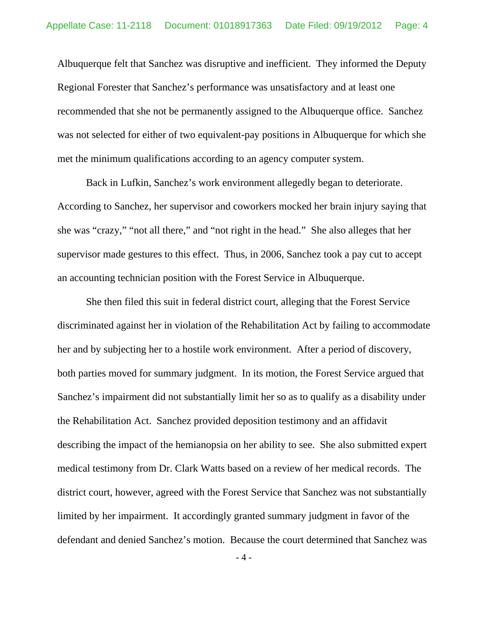Albuquerque felt that Sanchez was disruptive and inefficient. They informed the Deputy Regional Forester that Sanchez's performance was unsatisfactory and at least one recommended that she not be permanently assigned to the Albuquerque office. Sanchez was not selected for either of two equivalent-pay positions in Albuquerque for which she met the minimum qualifications according to an agency computer system.

 Back in Lufkin, Sanchez's work environment allegedly began to deteriorate. According to Sanchez, her supervisor and coworkers mocked her brain injury saying that she was "crazy," "not all there," and "not right in the head." She also alleges that her supervisor made gestures to this effect. Thus, in 2006, Sanchez took a pay cut to accept an accounting technician position with the Forest Service in Albuquerque.

 She then filed this suit in federal district court, alleging that the Forest Service discriminated against her in violation of the Rehabilitation Act by failing to accommodate her and by subjecting her to a hostile work environment. After a period of discovery, both parties moved for summary judgment. In its motion, the Forest Service argued that Sanchez's impairment did not substantially limit her so as to qualify as a disability under the Rehabilitation Act. Sanchez provided deposition testimony and an affidavit describing the impact of the hemianopsia on her ability to see. She also submitted expert medical testimony from Dr. Clark Watts based on a review of her medical records. The district court, however, agreed with the Forest Service that Sanchez was not substantially limited by her impairment. It accordingly granted summary judgment in favor of the defendant and denied Sanchez's motion. Because the court determined that Sanchez was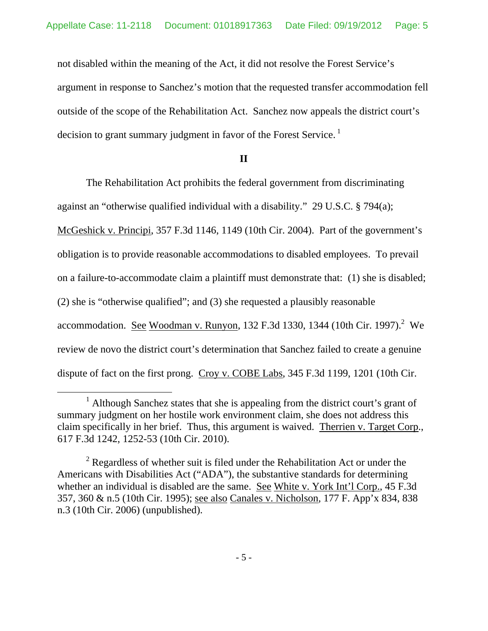not disabled within the meaning of the Act, it did not resolve the Forest Service's argument in response to Sanchez's motion that the requested transfer accommodation fell outside of the scope of the Rehabilitation Act. Sanchez now appeals the district court's decision to grant summary judgment in favor of the Forest Service.<sup>1</sup>

## **II**

 The Rehabilitation Act prohibits the federal government from discriminating against an "otherwise qualified individual with a disability." 29 U.S.C. § 794(a);

McGeshick v. Principi, 357 F.3d 1146, 1149 (10th Cir. 2004). Part of the government's obligation is to provide reasonable accommodations to disabled employees. To prevail on a failure-to-accommodate claim a plaintiff must demonstrate that: (1) she is disabled; (2) she is "otherwise qualified"; and (3) she requested a plausibly reasonable accommodation. See Woodman v. Runyon, 132 F.3d 1330, 1344 (10th Cir. 1997).<sup>2</sup> We review de novo the district court's determination that Sanchez failed to create a genuine

dispute of fact on the first prong. Croy v. COBE Labs, 345 F.3d 1199, 1201 (10th Cir.

 $\overline{\phantom{a}}$  $<sup>1</sup>$  Although Sanchez states that she is appealing from the district court's grant of</sup> summary judgment on her hostile work environment claim, she does not address this claim specifically in her brief. Thus, this argument is waived. Therrien v. Target Corp., 617 F.3d 1242, 1252-53 (10th Cir. 2010).

 $2^{2}$  Regardless of whether suit is filed under the Rehabilitation Act or under the Americans with Disabilities Act ("ADA"), the substantive standards for determining whether an individual is disabled are the same. See White v. York Int'l Corp., 45 F.3d 357, 360 & n.5 (10th Cir. 1995); see also Canales v. Nicholson, 177 F. App'x 834, 838 n.3 (10th Cir. 2006) (unpublished).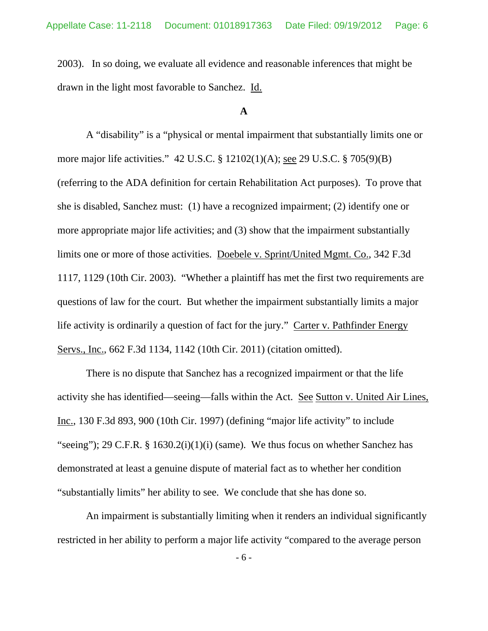2003). In so doing, we evaluate all evidence and reasonable inferences that might be drawn in the light most favorable to Sanchez. Id.

### **A**

 A "disability" is a "physical or mental impairment that substantially limits one or more major life activities." 42 U.S.C. § 12102(1)(A); see 29 U.S.C. § 705(9)(B) (referring to the ADA definition for certain Rehabilitation Act purposes). To prove that she is disabled, Sanchez must: (1) have a recognized impairment; (2) identify one or more appropriate major life activities; and (3) show that the impairment substantially limits one or more of those activities. Doebele v. Sprint/United Mgmt. Co., 342 F.3d 1117, 1129 (10th Cir. 2003). "Whether a plaintiff has met the first two requirements are questions of law for the court. But whether the impairment substantially limits a major life activity is ordinarily a question of fact for the jury." Carter v. Pathfinder Energy Servs., Inc., 662 F.3d 1134, 1142 (10th Cir. 2011) (citation omitted).

 There is no dispute that Sanchez has a recognized impairment or that the life activity she has identified—seeing—falls within the Act. See Sutton v. United Air Lines, Inc., 130 F.3d 893, 900 (10th Cir. 1997) (defining "major life activity" to include "seeing"); 29 C.F.R. § 1630.2(i)(1)(i) (same). We thus focus on whether Sanchez has demonstrated at least a genuine dispute of material fact as to whether her condition "substantially limits" her ability to see. We conclude that she has done so.

 An impairment is substantially limiting when it renders an individual significantly restricted in her ability to perform a major life activity "compared to the average person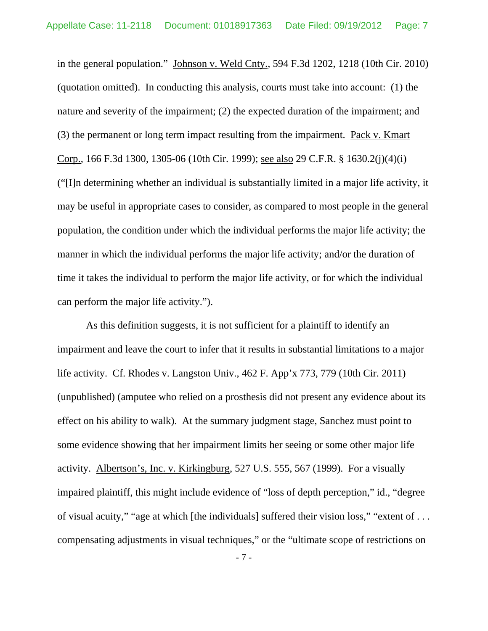in the general population." Johnson v. Weld Cnty., 594 F.3d 1202, 1218 (10th Cir. 2010) (quotation omitted). In conducting this analysis, courts must take into account: (1) the nature and severity of the impairment; (2) the expected duration of the impairment; and (3) the permanent or long term impact resulting from the impairment. Pack v. Kmart Corp., 166 F.3d 1300, 1305-06 (10th Cir. 1999); see also 29 C.F.R. § 1630.2(j)(4)(i) ("[I]n determining whether an individual is substantially limited in a major life activity, it may be useful in appropriate cases to consider, as compared to most people in the general population, the condition under which the individual performs the major life activity; the manner in which the individual performs the major life activity; and/or the duration of time it takes the individual to perform the major life activity, or for which the individual can perform the major life activity.").

 As this definition suggests, it is not sufficient for a plaintiff to identify an impairment and leave the court to infer that it results in substantial limitations to a major life activity. Cf. Rhodes v. Langston Univ., 462 F. App'x 773, 779 (10th Cir. 2011) (unpublished) (amputee who relied on a prosthesis did not present any evidence about its effect on his ability to walk). At the summary judgment stage, Sanchez must point to some evidence showing that her impairment limits her seeing or some other major life activity. Albertson's, Inc. v. Kirkingburg, 527 U.S. 555, 567 (1999). For a visually impaired plaintiff, this might include evidence of "loss of depth perception," id., "degree of visual acuity," "age at which [the individuals] suffered their vision loss," "extent of . . . compensating adjustments in visual techniques," or the "ultimate scope of restrictions on

- 7 -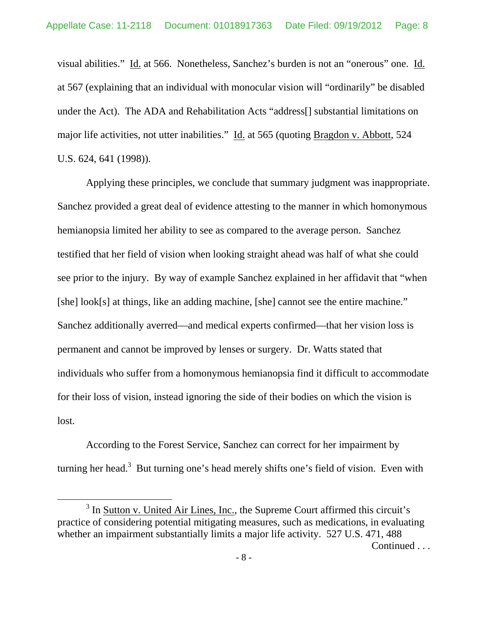visual abilities." Id. at 566. Nonetheless, Sanchez's burden is not an "onerous" one. Id. at 567 (explaining that an individual with monocular vision will "ordinarily" be disabled under the Act). The ADA and Rehabilitation Acts "address[] substantial limitations on major life activities, not utter inabilities." Id. at 565 (quoting Bragdon v. Abbott, 524 U.S. 624, 641 (1998)).

 Applying these principles, we conclude that summary judgment was inappropriate. Sanchez provided a great deal of evidence attesting to the manner in which homonymous hemianopsia limited her ability to see as compared to the average person. Sanchez testified that her field of vision when looking straight ahead was half of what she could see prior to the injury.By way of example Sanchez explained in her affidavit that "when [she] look[s] at things, like an adding machine, [she] cannot see the entire machine." Sanchez additionally averred—and medical experts confirmed—that her vision loss is permanent and cannot be improved by lenses or surgery. Dr. Watts stated that individuals who suffer from a homonymous hemianopsia find it difficult to accommodate for their loss of vision, instead ignoring the side of their bodies on which the vision is lost.

 According to the Forest Service, Sanchez can correct for her impairment by turning her head.<sup>3</sup> But turning one's head merely shifts one's field of vision. Even with

 $\frac{1}{3}$  $3$  In Sutton v. United Air Lines, Inc., the Supreme Court affirmed this circuit's practice of considering potential mitigating measures, such as medications, in evaluating whether an impairment substantially limits a major life activity. 527 U.S. 471, 488 Continued . . .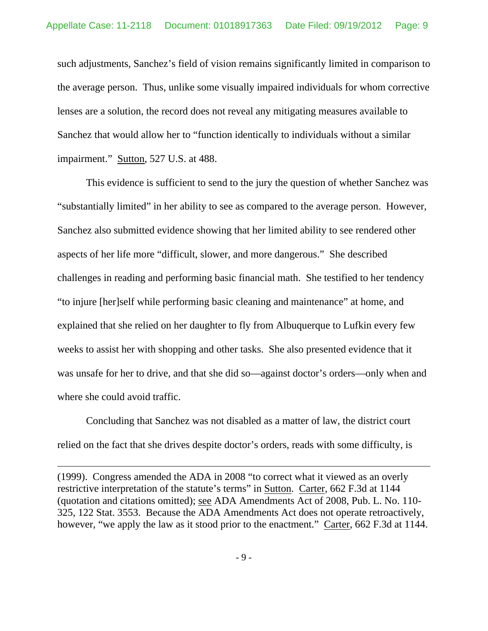such adjustments, Sanchez's field of vision remains significantly limited in comparison to the average person. Thus, unlike some visually impaired individuals for whom corrective lenses are a solution, the record does not reveal any mitigating measures available to Sanchez that would allow her to "function identically to individuals without a similar impairment." Sutton, 527 U.S. at 488.

 This evidence is sufficient to send to the jury the question of whether Sanchez was "substantially limited" in her ability to see as compared to the average person. However, Sanchez also submitted evidence showing that her limited ability to see rendered other aspects of her life more "difficult, slower, and more dangerous." She described challenges in reading and performing basic financial math. She testified to her tendency "to injure [her]self while performing basic cleaning and maintenance" at home, and explained that she relied on her daughter to fly from Albuquerque to Lufkin every few weeks to assist her with shopping and other tasks. She also presented evidence that it was unsafe for her to drive, and that she did so—against doctor's orders—only when and where she could avoid traffic.

 Concluding that Sanchez was not disabled as a matter of law, the district court relied on the fact that she drives despite doctor's orders, reads with some difficulty, is

 $\overline{a}$ 

(1999). Congress amended the ADA in 2008 "to correct what it viewed as an overly restrictive interpretation of the statute's terms" in Sutton. Carter, 662 F.3d at 1144 (quotation and citations omitted); see ADA Amendments Act of 2008, Pub. L. No. 110- 325, 122 Stat. 3553. Because the ADA Amendments Act does not operate retroactively, however, "we apply the law as it stood prior to the enactment." Carter, 662 F.3d at 1144.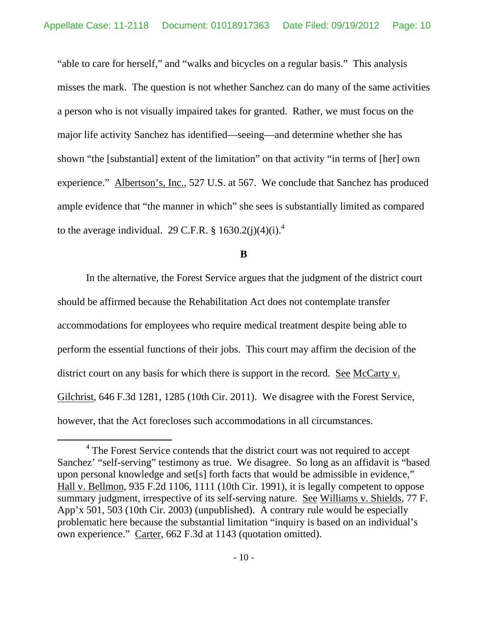"able to care for herself," and "walks and bicycles on a regular basis." This analysis misses the mark. The question is not whether Sanchez can do many of the same activities a person who is not visually impaired takes for granted. Rather, we must focus on the major life activity Sanchez has identified—seeing—and determine whether she has shown "the [substantial] extent of the limitation" on that activity "in terms of [her] own experience." Albertson's, Inc., 527 U.S. at 567. We conclude that Sanchez has produced ample evidence that "the manner in which" she sees is substantially limited as compared to the average individual. 29 C.F.R.  $\S$  1630.2(j)(4)(i).<sup>4</sup>

### **B**

 In the alternative, the Forest Service argues that the judgment of the district court should be affirmed because the Rehabilitation Act does not contemplate transfer accommodations for employees who require medical treatment despite being able to perform the essential functions of their jobs. This court may affirm the decision of the district court on any basis for which there is support in the record. See McCarty v. Gilchrist, 646 F.3d 1281, 1285 (10th Cir. 2011). We disagree with the Forest Service, however, that the Act forecloses such accommodations in all circumstances.

 $\overline{4}$ <sup>4</sup> The Forest Service contends that the district court was not required to accept Sanchez' "self-serving" testimony as true. We disagree. So long as an affidavit is "based upon personal knowledge and set[s] forth facts that would be admissible in evidence," Hall v. Bellmon, 935 F.2d 1106, 1111 (10th Cir. 1991), it is legally competent to oppose summary judgment, irrespective of its self-serving nature. See Williams v. Shields, 77 F. App'x 501, 503 (10th Cir. 2003) (unpublished). A contrary rule would be especially problematic here because the substantial limitation "inquiry is based on an individual's own experience." Carter, 662 F.3d at 1143 (quotation omitted).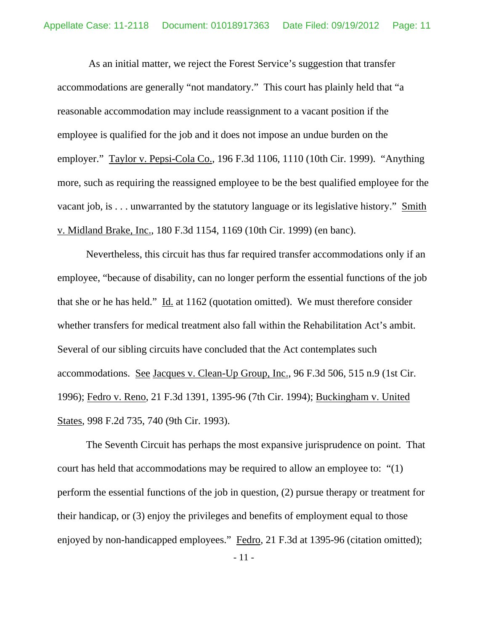As an initial matter, we reject the Forest Service's suggestion that transfer accommodations are generally "not mandatory." This court has plainly held that "a reasonable accommodation may include reassignment to a vacant position if the employee is qualified for the job and it does not impose an undue burden on the employer." Taylor v. Pepsi-Cola Co., 196 F.3d 1106, 1110 (10th Cir. 1999). "Anything more, such as requiring the reassigned employee to be the best qualified employee for the vacant job, is . . . unwarranted by the statutory language or its legislative history." Smith v. Midland Brake, Inc., 180 F.3d 1154, 1169 (10th Cir. 1999) (en banc).

 Nevertheless, this circuit has thus far required transfer accommodations only if an employee, "because of disability, can no longer perform the essential functions of the job that she or he has held."  $\underline{Id}$  at 1162 (quotation omitted). We must therefore consider whether transfers for medical treatment also fall within the Rehabilitation Act's ambit. Several of our sibling circuits have concluded that the Act contemplates such accommodations. See Jacques v. Clean-Up Group, Inc., 96 F.3d 506, 515 n.9 (1st Cir. 1996); Fedro v. Reno, 21 F.3d 1391, 1395-96 (7th Cir. 1994); Buckingham v. United States, 998 F.2d 735, 740 (9th Cir. 1993).

 The Seventh Circuit has perhaps the most expansive jurisprudence on point. That court has held that accommodations may be required to allow an employee to: "(1) perform the essential functions of the job in question, (2) pursue therapy or treatment for their handicap, or (3) enjoy the privileges and benefits of employment equal to those enjoyed by non-handicapped employees." Fedro, 21 F.3d at 1395-96 (citation omitted);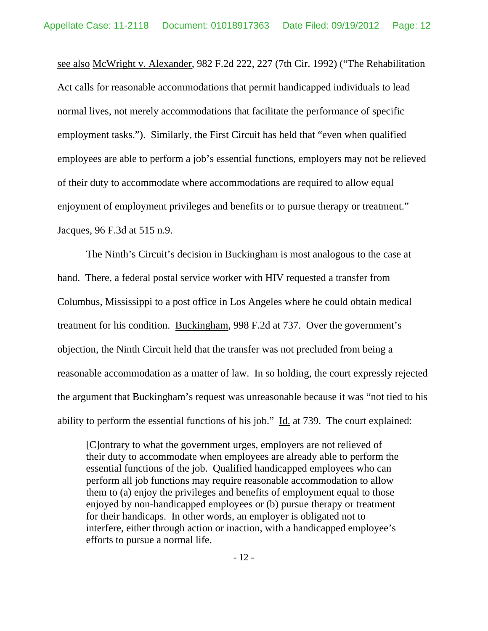see also McWright v. Alexander, 982 F.2d 222, 227 (7th Cir. 1992) ("The Rehabilitation Act calls for reasonable accommodations that permit handicapped individuals to lead normal lives, not merely accommodations that facilitate the performance of specific employment tasks."). Similarly, the First Circuit has held that "even when qualified employees are able to perform a job's essential functions, employers may not be relieved of their duty to accommodate where accommodations are required to allow equal enjoyment of employment privileges and benefits or to pursue therapy or treatment." Jacques, 96 F.3d at 515 n.9.

 The Ninth's Circuit's decision in Buckingham is most analogous to the case at hand. There, a federal postal service worker with HIV requested a transfer from Columbus, Mississippi to a post office in Los Angeles where he could obtain medical treatment for his condition. Buckingham, 998 F.2d at 737. Over the government's objection, the Ninth Circuit held that the transfer was not precluded from being a reasonable accommodation as a matter of law. In so holding, the court expressly rejected the argument that Buckingham's request was unreasonable because it was "not tied to his ability to perform the essential functions of his job." Id. at 739. The court explained:

[C]ontrary to what the government urges, employers are not relieved of their duty to accommodate when employees are already able to perform the essential functions of the job. Qualified handicapped employees who can perform all job functions may require reasonable accommodation to allow them to (a) enjoy the privileges and benefits of employment equal to those enjoyed by non-handicapped employees or (b) pursue therapy or treatment for their handicaps. In other words, an employer is obligated not to interfere, either through action or inaction, with a handicapped employee's efforts to pursue a normal life.

- 12 -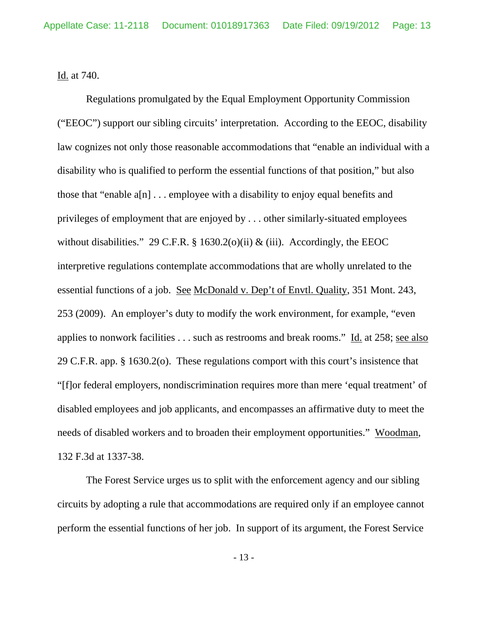Id. at 740.

 Regulations promulgated by the Equal Employment Opportunity Commission ("EEOC") support our sibling circuits' interpretation. According to the EEOC, disability law cognizes not only those reasonable accommodations that "enable an individual with a disability who is qualified to perform the essential functions of that position," but also those that "enable  $a[n]$ ... employee with a disability to enjoy equal benefits and privileges of employment that are enjoyed by . . . other similarly-situated employees without disabilities." 29 C.F.R. § 1630.2(o)(ii) & (iii). Accordingly, the EEOC interpretive regulations contemplate accommodations that are wholly unrelated to the essential functions of a job. See McDonald v. Dep't of Envtl. Quality, 351 Mont. 243, 253 (2009). An employer's duty to modify the work environment, for example, "even applies to nonwork facilities . . . such as restrooms and break rooms." Id. at 258; see also 29 C.F.R. app. § 1630.2(o). These regulations comport with this court's insistence that "[f]or federal employers, nondiscrimination requires more than mere 'equal treatment' of disabled employees and job applicants, and encompasses an affirmative duty to meet the needs of disabled workers and to broaden their employment opportunities." Woodman, 132 F.3d at 1337-38.

 The Forest Service urges us to split with the enforcement agency and our sibling circuits by adopting a rule that accommodations are required only if an employee cannot perform the essential functions of her job. In support of its argument, the Forest Service

- 13 -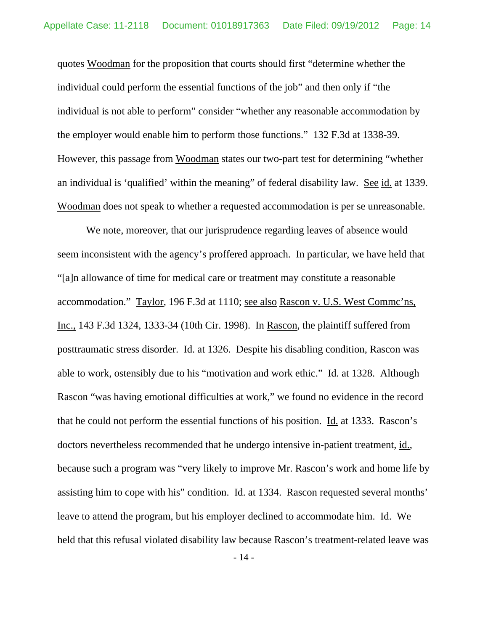quotes Woodman for the proposition that courts should first "determine whether the individual could perform the essential functions of the job" and then only if "the individual is not able to perform" consider "whether any reasonable accommodation by the employer would enable him to perform those functions." 132 F.3d at 1338-39. However, this passage from Woodman states our two-part test for determining "whether an individual is 'qualified' within the meaning" of federal disability law. See id. at 1339. Woodman does not speak to whether a requested accommodation is per se unreasonable.

 We note, moreover, that our jurisprudence regarding leaves of absence would seem inconsistent with the agency's proffered approach. In particular, we have held that "[a]n allowance of time for medical care or treatment may constitute a reasonable accommodation." Taylor, 196 F.3d at 1110; see also Rascon v. U.S. West Commc'ns, Inc., 143 F.3d 1324, 1333-34 (10th Cir. 1998). In Rascon, the plaintiff suffered from posttraumatic stress disorder. Id. at 1326. Despite his disabling condition, Rascon was able to work, ostensibly due to his "motivation and work ethic." Id. at 1328. Although Rascon "was having emotional difficulties at work," we found no evidence in the record that he could not perform the essential functions of his position. Id. at 1333. Rascon's doctors nevertheless recommended that he undergo intensive in-patient treatment, id., because such a program was "very likely to improve Mr. Rascon's work and home life by assisting him to cope with his" condition. Id. at 1334. Rascon requested several months' leave to attend the program, but his employer declined to accommodate him. Id. We held that this refusal violated disability law because Rascon's treatment-related leave was